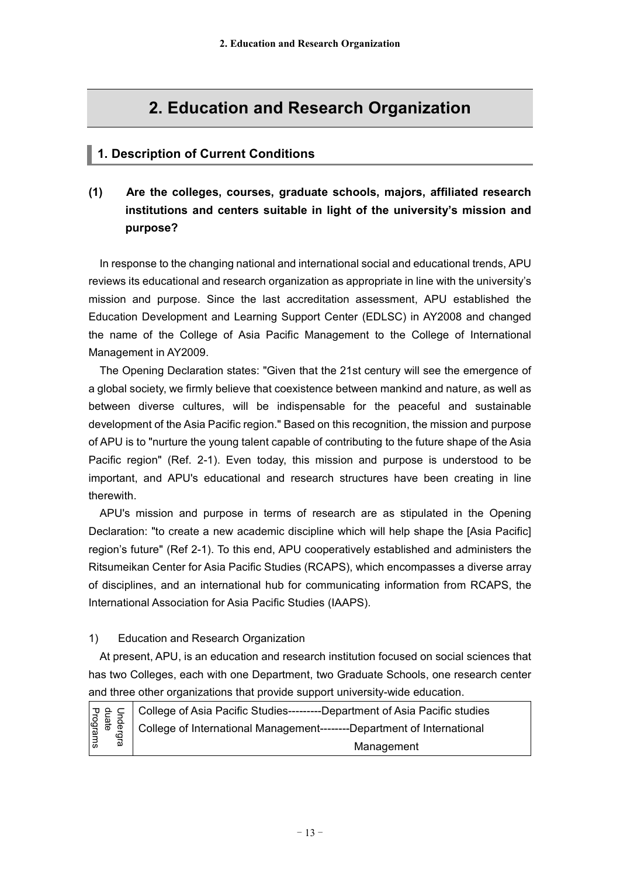# **2. Education and Research Organization**

## **1. Description of Current Conditions**

## **(1) Are the colleges, courses, graduate schools, majors, affiliated research institutions and centers suitable in light of the university's mission and purpose?**

In response to the changing national and international social and educational trends, APU reviews its educational and research organization as appropriate in line with the university's mission and purpose. Since the last accreditation assessment, APU established the Education Development and Learning Support Center (EDLSC) in AY2008 and changed the name of the College of Asia Pacific Management to the College of International Management in AY2009.

The Opening Declaration states: "Given that the 21st century will see the emergence of a global society, we firmly believe that coexistence between mankind and nature, as well as between diverse cultures, will be indispensable for the peaceful and sustainable development of the Asia Pacific region." Based on this recognition, the mission and purpose of APU is to "nurture the young talent capable of contributing to the future shape of the Asia Pacific region" (Ref. 2-1). Even today, this mission and purpose is understood to be important, and APU's educational and research structures have been creating in line therewith.

APU's mission and purpose in terms of research are as stipulated in the Opening Declaration: "to create a new academic discipline which will help shape the [Asia Pacific] region's future" (Ref 2-1). To this end, APU cooperatively established and administers the Ritsumeikan Center for Asia Pacific Studies (RCAPS), which encompasses a diverse array of disciplines, and an international hub for communicating information from RCAPS, the International Association for Asia Pacific Studies (IAAPS).

### 1) Education and Research Organization

At present, APU, is an education and research institution focused on social sciences that has two Colleges, each with one Department, two Graduate Schools, one research center and three other organizations that provide support university-wide education.

| Pecal College of Asia Pacific Studies---------Department of Asia Pacific studies<br>and a college of International Management--------Department of International<br>2 Management<br>Management |
|------------------------------------------------------------------------------------------------------------------------------------------------------------------------------------------------|
| Management                                                                                                                                                                                     |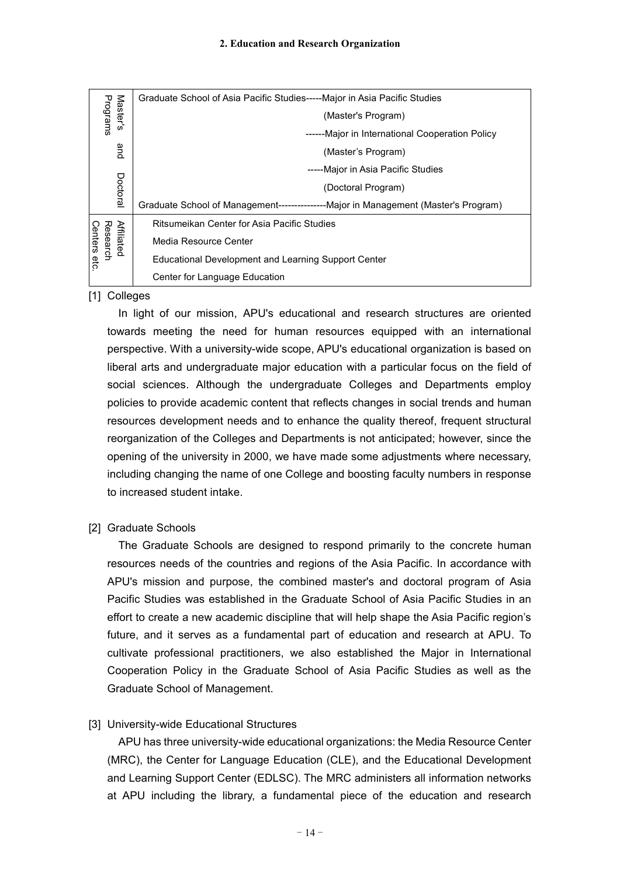| Master's<br>Programs                         | Graduate School of Asia Pacific Studies-----Major in Asia Pacific Studies           |
|----------------------------------------------|-------------------------------------------------------------------------------------|
|                                              | (Master's Program)                                                                  |
|                                              | ------Major in International Cooperation Policy                                     |
| and                                          | (Master's Program)                                                                  |
| Doctoral                                     | -----Major in Asia Pacific Studies                                                  |
|                                              | (Doctoral Program)                                                                  |
|                                              | Graduate School of Management----------------Major in Management (Master's Program) |
| <b>Affiliated</b><br>Research<br>Centers etc | Ritsumeikan Center for Asia Pacific Studies                                         |
|                                              | Media Resource Center                                                               |
|                                              | Educational Development and Learning Support Center                                 |
|                                              | Center for Language Education                                                       |

#### [1] Colleges

In light of our mission, APU's educational and research structures are oriented towards meeting the need for human resources equipped with an international perspective. With a university-wide scope, APU's educational organization is based on liberal arts and undergraduate major education with a particular focus on the field of social sciences. Although the undergraduate Colleges and Departments employ policies to provide academic content that reflects changes in social trends and human resources development needs and to enhance the quality thereof, frequent structural reorganization of the Colleges and Departments is not anticipated; however, since the opening of the university in 2000, we have made some adjustments where necessary, including changing the name of one College and boosting faculty numbers in response to increased student intake.

### [2] Graduate Schools

The Graduate Schools are designed to respond primarily to the concrete human resources needs of the countries and regions of the Asia Pacific. In accordance with APU's mission and purpose, the combined master's and doctoral program of Asia Pacific Studies was established in the Graduate School of Asia Pacific Studies in an effort to create a new academic discipline that will help shape the Asia Pacific region's future, and it serves as a fundamental part of education and research at APU. To cultivate professional practitioners, we also established the Major in International Cooperation Policy in the Graduate School of Asia Pacific Studies as well as the Graduate School of Management.

### [3] University-wide Educational Structures

APU has three university-wide educational organizations: the Media Resource Center (MRC), the Center for Language Education (CLE), and the Educational Development and Learning Support Center (EDLSC). The MRC administers all information networks at APU including the library, a fundamental piece of the education and research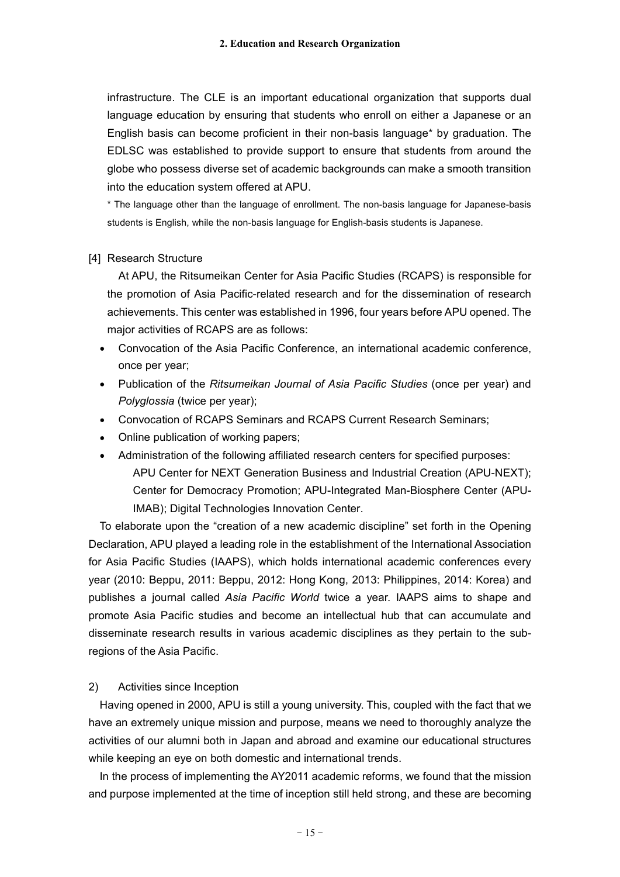infrastructure. The CLE is an important educational organization that supports dual language education by ensuring that students who enroll on either a Japanese or an English basis can become proficient in their non-basis language\* by graduation. The EDLSC was established to provide support to ensure that students from around the globe who possess diverse set of academic backgrounds can make a smooth transition into the education system offered at APU.

\* The language other than the language of enrollment. The non-basis language for Japanese-basis students is English, while the non-basis language for English-basis students is Japanese.

#### [4] Research Structure

At APU, the Ritsumeikan Center for Asia Pacific Studies (RCAPS) is responsible for the promotion of Asia Pacific-related research and for the dissemination of research achievements. This center was established in 1996, four years before APU opened. The major activities of RCAPS are as follows:

- Convocation of the Asia Pacific Conference, an international academic conference, once per year;
- Publication of the *Ritsumeikan Journal of Asia Pacific Studies* (once per year) and *Polyglossia* (twice per year);
- Convocation of RCAPS Seminars and RCAPS Current Research Seminars;
- Online publication of working papers;
- Administration of the following affiliated research centers for specified purposes:

APU Center for NEXT Generation Business and Industrial Creation (APU-NEXT); Center for Democracy Promotion; APU-Integrated Man-Biosphere Center (APU-IMAB); Digital Technologies Innovation Center.

To elaborate upon the "creation of a new academic discipline" set forth in the Opening Declaration, APU played a leading role in the establishment of the International Association for Asia Pacific Studies (IAAPS), which holds international academic conferences every year (2010: Beppu, 2011: Beppu, 2012: Hong Kong, 2013: Philippines, 2014: Korea) and publishes a journal called *Asia Pacific World* twice a year. IAAPS aims to shape and promote Asia Pacific studies and become an intellectual hub that can accumulate and disseminate research results in various academic disciplines as they pertain to the subregions of the Asia Pacific.

#### 2) Activities since Inception

Having opened in 2000, APU is still a young university. This, coupled with the fact that we have an extremely unique mission and purpose, means we need to thoroughly analyze the activities of our alumni both in Japan and abroad and examine our educational structures while keeping an eye on both domestic and international trends.

In the process of implementing the AY2011 academic reforms, we found that the mission and purpose implemented at the time of inception still held strong, and these are becoming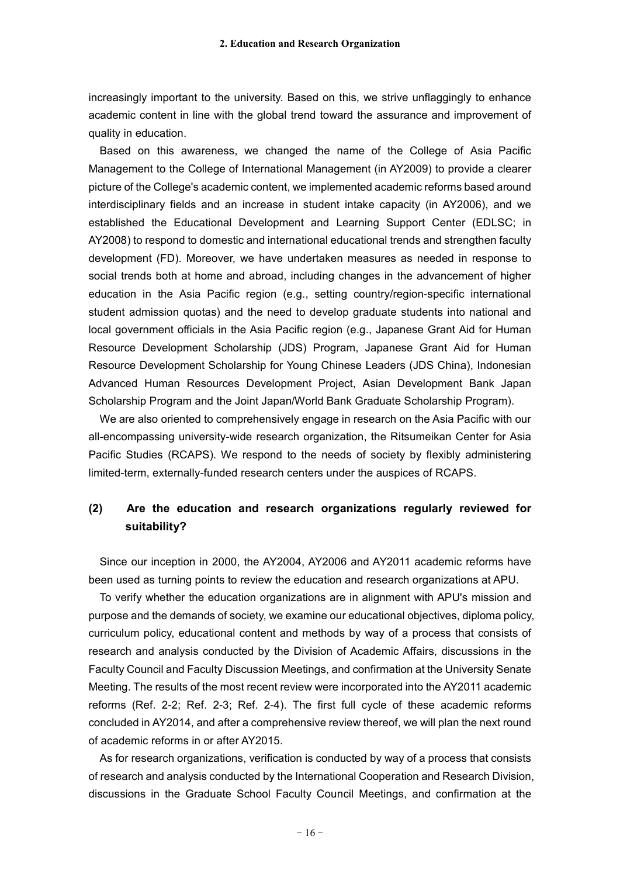increasingly important to the university. Based on this, we strive unflaggingly to enhance academic content in line with the global trend toward the assurance and improvement of quality in education.

Based on this awareness, we changed the name of the College of Asia Pacific Management to the College of International Management (in AY2009) to provide a clearer picture of the College's academic content, we implemented academic reforms based around interdisciplinary fields and an increase in student intake capacity (in AY2006), and we established the Educational Development and Learning Support Center (EDLSC; in AY2008) to respond to domestic and international educational trends and strengthen faculty development (FD). Moreover, we have undertaken measures as needed in response to social trends both at home and abroad, including changes in the advancement of higher education in the Asia Pacific region (e.g., setting country/region-specific international student admission quotas) and the need to develop graduate students into national and local government officials in the Asia Pacific region (e.g., Japanese Grant Aid for Human Resource Development Scholarship (JDS) Program, Japanese Grant Aid for Human Resource Development Scholarship for Young Chinese Leaders (JDS China), Indonesian Advanced Human Resources Development Project, Asian Development Bank Japan Scholarship Program and the Joint Japan/World Bank Graduate Scholarship Program).

We are also oriented to comprehensively engage in research on the Asia Pacific with our all-encompassing university-wide research organization, the Ritsumeikan Center for Asia Pacific Studies (RCAPS). We respond to the needs of society by flexibly administering limited-term, externally-funded research centers under the auspices of RCAPS.

## **(2) Are the education and research organizations regularly reviewed for suitability?**

Since our inception in 2000, the AY2004, AY2006 and AY2011 academic reforms have been used as turning points to review the education and research organizations at APU.

To verify whether the education organizations are in alignment with APU's mission and purpose and the demands of society, we examine our educational objectives, diploma policy, curriculum policy, educational content and methods by way of a process that consists of research and analysis conducted by the Division of Academic Affairs, discussions in the Faculty Council and Faculty Discussion Meetings, and confirmation at the University Senate Meeting. The results of the most recent review were incorporated into the AY2011 academic reforms (Ref. 2-2; Ref. 2-3; Ref. 2-4). The first full cycle of these academic reforms concluded in AY2014, and after a comprehensive review thereof, we will plan the next round of academic reforms in or after AY2015.

As for research organizations, verification is conducted by way of a process that consists of research and analysis conducted by the International Cooperation and Research Division, discussions in the Graduate School Faculty Council Meetings, and confirmation at the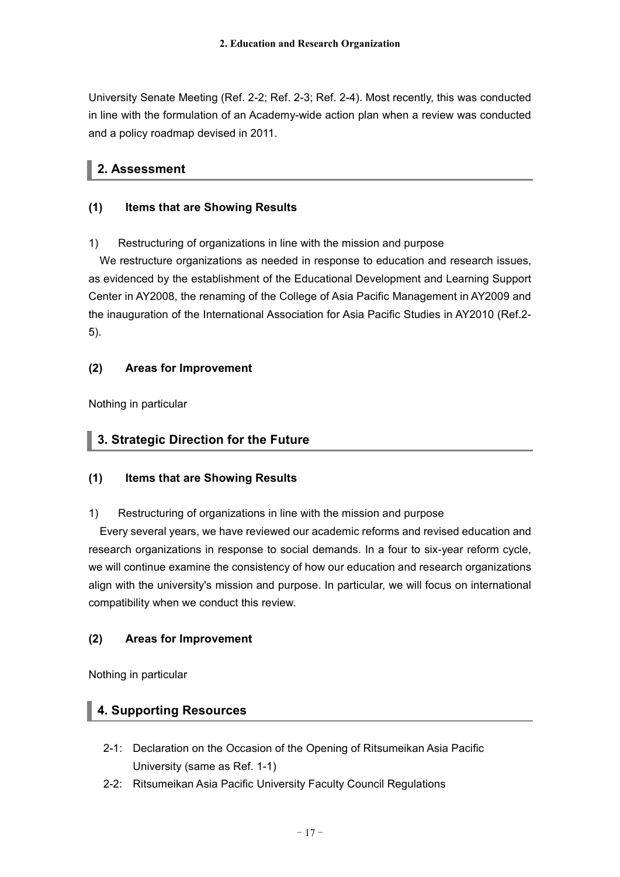University Senate Meeting (Ref. 2-2; Ref. 2-3; Ref. 2-4). Most recently, this was conducted in line with the formulation of an Academy-wide action plan when a review was conducted and a policy roadmap devised in 2011.

## **2. Assessment**

## **(1) Items that are Showing Results**

## 1) Restructuring of organizations in line with the mission and purpose

We restructure organizations as needed in response to education and research issues, as evidenced by the establishment of the Educational Development and Learning Support Center in AY2008, the renaming of the College of Asia Pacific Management in AY2009 and the inauguration of the International Association for Asia Pacific Studies in AY2010 (Ref.2- 5).

## **(2) Areas for Improvement**

Nothing in particular

## **3. Strategic Direction for the Future**

## **(1) Items that are Showing Results**

## 1) Restructuring of organizations in line with the mission and purpose

Every several years, we have reviewed our academic reforms and revised education and research organizations in response to social demands. In a four to six-year reform cycle, we will continue examine the consistency of how our education and research organizations align with the university's mission and purpose. In particular, we will focus on international compatibility when we conduct this review.

## **(2) Areas for Improvement**

Nothing in particular

## **4. Supporting Resources**

- 2-1: Declaration on the Occasion of the Opening of Ritsumeikan Asia Pacific University (same as Ref. 1-1)
- 2-2: Ritsumeikan Asia Pacific University Faculty Council Regulations